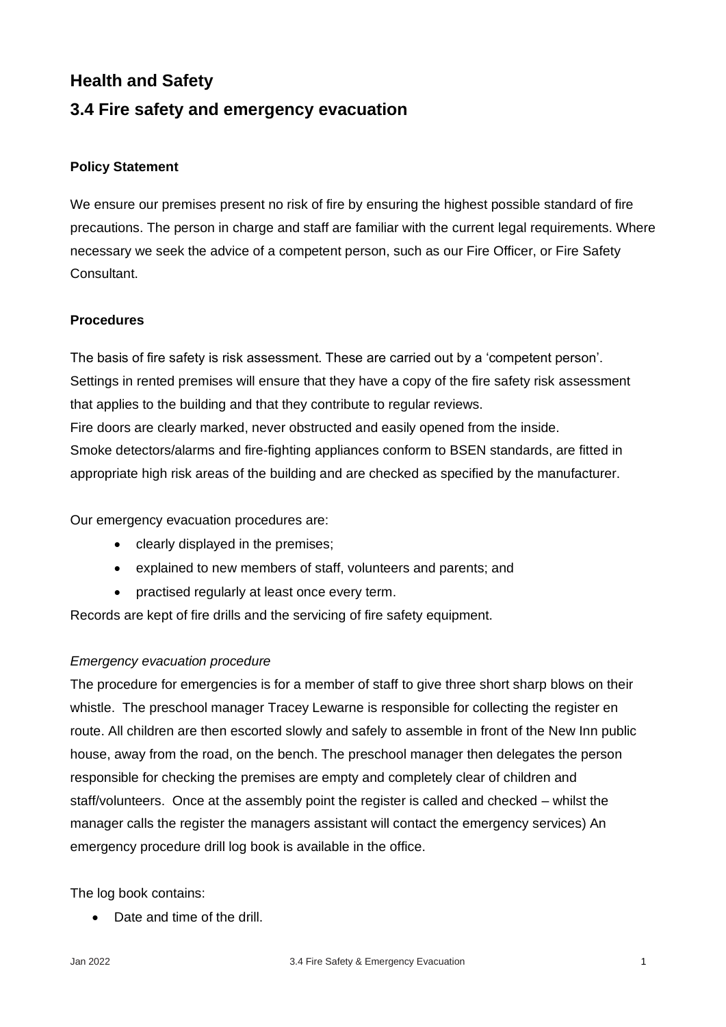# **Health and Safety**

# **3.4 Fire safety and emergency evacuation**

## **Policy Statement**

We ensure our premises present no risk of fire by ensuring the highest possible standard of fire precautions. The person in charge and staff are familiar with the current legal requirements. Where necessary we seek the advice of a competent person, such as our Fire Officer, or Fire Safety Consultant.

### **Procedures**

The basis of fire safety is risk assessment. These are carried out by a 'competent person'. Settings in rented premises will ensure that they have a copy of the fire safety risk assessment that applies to the building and that they contribute to regular reviews. Fire doors are clearly marked, never obstructed and easily opened from the inside. Smoke detectors/alarms and fire-fighting appliances conform to BSEN standards, are fitted in appropriate high risk areas of the building and are checked as specified by the manufacturer.

Our emergency evacuation procedures are:

- clearly displayed in the premises;
- explained to new members of staff, volunteers and parents; and
- practised regularly at least once every term.

Records are kept of fire drills and the servicing of fire safety equipment.

### *Emergency evacuation procedure*

The procedure for emergencies is for a member of staff to give three short sharp blows on their whistle. The preschool manager Tracey Lewarne is responsible for collecting the register en route. All children are then escorted slowly and safely to assemble in front of the New Inn public house, away from the road, on the bench. The preschool manager then delegates the person responsible for checking the premises are empty and completely clear of children and staff/volunteers. Once at the assembly point the register is called and checked – whilst the manager calls the register the managers assistant will contact the emergency services) An emergency procedure drill log book is available in the office.

The log book contains:

• Date and time of the drill.